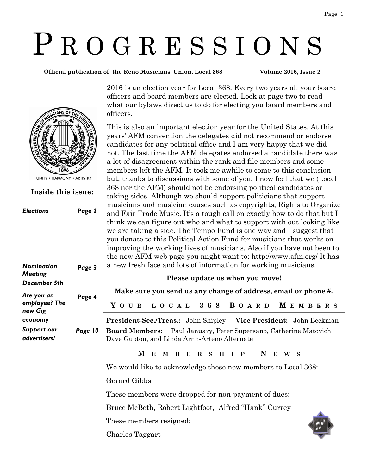# P R O G R E S S I O N S

**Official publication of the Reno Musicians' Union, Local 368 Volume 2016, Issue 2**



*Elections Page 2 Nomination Meeting December 5th Page 3 Are you an employee? The new Gig economy Page 4 Support our advertisers! Page 10* **Inside this issue:**

2016 is an election year for Local 368. Every two years all your board officers and board members are elected. Look at page two to read what our bylaws direct us to do for electing you board members and officers.

This is also an important election year for the United States. At this years' AFM convention the delegates did not recommend or endorse candidates for any political office and I am very happy that we did not. The last time the AFM delegates endorsed a candidate there was a lot of disagreement within the rank and file members and some members left the AFM. It took me awhile to come to this conclusion but, thanks to discussions with some of you, I now feel that we (Local 368 nor the AFM) should not be endorsing political candidates or taking sides. Although we should support politicians that support musicians and musician causes such as copyrights, Rights to Organize and Fair Trade Music. It's a tough call on exactly how to do that but I think we can figure out who and what to support with out looking like we are taking a side. The Tempo Fund is one way and I suggest that you donate to this Political Action Fund for musicians that works on improving the working lives of musicians. Also if you have not been to the new AFM web page you might want to: http://www.afm.org/ It has a new fresh face and lots of information for working musicians.

|         | Please update us when you move!                                                                                         |
|---------|-------------------------------------------------------------------------------------------------------------------------|
|         | Make sure you send us any change of address, email or phone #.                                                          |
| Page 4  | YOUR LOCAL 368 BOARD MEMBERS                                                                                            |
|         | <b>President-Sec./Treas.:</b> John Shipley Vice President: John Beckman                                                 |
| Page 10 | <b>Board Members:</b> Paul January, Peter Supersano, Catherine Matovich<br>Dave Gupton, and Linda Arnn-Arteno Alternate |
|         | M B E R S H I P N E<br>M E<br>W S                                                                                       |
|         | We would like to acknowledge these new members to Local 368:                                                            |
|         | Gerard Gibbs                                                                                                            |
|         | These members were dropped for non-payment of dues:                                                                     |
|         | Bruce McBeth, Robert Lightfoot, Alfred "Hank" Currey                                                                    |
|         | These members resigned:                                                                                                 |
|         | Charles Taggart                                                                                                         |
|         |                                                                                                                         |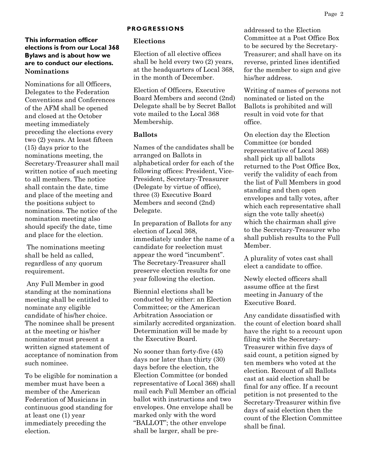## **This information officer elections is from our Local 368 Bylaws and is about how we are to conduct our elections. Nominations**

Nominations for all Officers, Delegates to the Federation Conventions and Conferences of the AFM shall be opened and closed at the October meeting immediately preceding the elections every two (2) years. At least fifteen (15) days prior to the nominations meeting, the Secretary-Treasurer shall mail written notice of such meeting to all members. The notice shall contain the date, time and place of the meeting and the positions subject to nominations. The notice of the nomination meeting also should specify the date, time and place for the election.

The nominations meeting shall be held as called, regardless of any quorum requirement.

Any Full Member in good standing at the nominations meeting shall be entitled to nominate any eligible candidate of his/her choice. The nominee shall be present at the meeting or his/her nominator must present a written signed statement of acceptance of nomination from such nominee.

To be eligible for nomination a member must have been a member of the American Federation of Musicians in continuous good standing for at least one (1) year immediately preceding the election.

#### **PROGRESSIONS**

#### **Elections**

Election of all elective offices shall be held every two (2) years, at the headquarters of Local 368, in the month of December.

Election of Officers, Executive Board Members and second (2nd) Delegate shall be by Secret Ballot vote mailed to the Local 368 Membership.

### **Ballots**

Names of the candidates shall be arranged on Ballots in alphabetical order for each of the following offices: President, Vice-President, Secretary-Treasurer (Delegate by virtue of office), three (3) Executive Board Members and second (2nd) Delegate.

In preparation of Ballots for any election of Local 368, immediately under the name of a candidate for reelection must appear the word "incumbent". The Secretary-Treasurer shall preserve election results for one year following the election.

Biennial elections shall be conducted by either: an Election Committee; or the American Arbitration Association or similarly accredited organization. Determination will be made by the Executive Board.

No sooner than forty-five (45) days nor later than thirty (30) days before the election, the Election Committee (or bonded representative of Local 368) shall mail each Full Member an official ballot with instructions and two envelopes. One envelope shall be marked only with the word "BALLOT"; the other envelope shall be larger, shall be pre-

addressed to the Election Committee at a Post Office Box to be secured by the Secretary-Treasurer; and shall have on its reverse, printed lines identified for the member to sign and give his/her address.

Writing of names of persons not nominated or listed on the Ballots is prohibited and will result in void vote for that office.

On election day the Election Committee (or bonded representative of Local 368) shall pick up all ballots returned to the Post Office Box, verify the validity of each from the list of Full Members in good standing and then open envelopes and tally votes, after which each representative shall sign the vote tally sheet(s) which the chairman shall give to the Secretary-Treasurer who shall publish results to the Full Member.

A plurality of votes cast shall elect a candidate to office.

Newly elected officers shall assume office at the first meeting in January of the Executive Board.

Any candidate dissatisfied with the count of election board shall have the right to a recount upon filing with the Secretary-Treasurer within five days of said count, a petition signed by ten members who voted at the election. Recount of all Ballots cast at said election shall be final for any office. If a recount petition is not presented to the Secretary-Treasurer within five days of said election then the count of the Election Committee shall be final.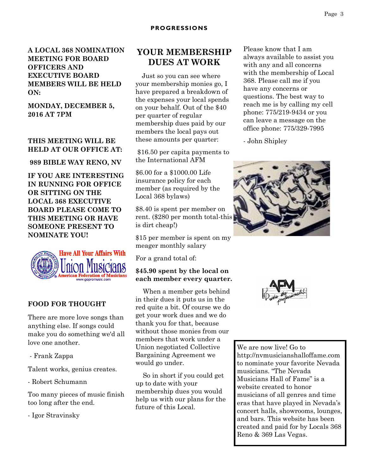**A LOCAL 368 NOMINATION MEETING FOR BOARD OFFICERS AND EXECUTIVE BOARD MEMBERS WILL BE HELD ON:**

**MONDAY, DECEMBER 5, 2016 AT 7PM**

## **THIS MEETING WILL BE HELD AT OUR OFFICE AT:**

**989 BIBLE WAY RENO, NV**

**IF YOU ARE INTERESTING IN RUNNING FOR OFFICE OR SITTING ON THE LOCAL 368 EXECUTIVE BOARD PLEASE COME TO THIS MEETING OR HAVE SOMEONE PRESENT TO NOMINATE YOU!**



## **FOOD FOR THOUGHT**

There are more love songs than anything else. If songs could make you do something we'd all love one another.

- Frank Zappa

Talent works, genius creates.

- Robert Schumann

Too many pieces of music finish too long after the end.

- Igor Stravinsky

## **YOUR MEMBERSHIP DUES AT WORK**

 Just so you can see where your membership monies go, I have prepared a breakdown of the expenses your local spends on your behalf. Out of the \$40 per quarter of regular membership dues paid by our members the local pays out these amounts per quarter:

\$16.50 per capita payments to the International AFM

\$6.00 for a \$1000.00 Life insurance policy for each member (as required by the Local 368 bylaws)

\$8.40 is spent per member on rent. (\$280 per month total-this is dirt cheap!)

\$15 per member is spent on my meager monthly salary

For a grand total of:

### **\$45.90 spent by the local on each member every quarter.**

 When a member gets behind in their dues it puts us in the red quite a bit. Of course we do get your work dues and we do thank you for that, because without those monies from our members that work under a Union negotiated Collective Bargaining Agreement we would go under.

 So in short if you could get up to date with your membership dues you would help us with our plans for the future of this Local.

Please know that I am always available to assist you with any and all concerns with the membership of Local 368. Please call me if you have any concerns or questions. The best way to reach me is by calling my cell phone: 775/219-9434 or you can leave a message on the office phone: 775/329-7995

- John Shipley





We are now live! Go to http://nvmusicianshalloffame.com to nominate your favorite Nevada musicians. "The Nevada Musicians Hall of Fame" is a website created to honor musicians of all genres and time eras that have played in Nevada's concert halls, showrooms, lounges, and bars. This website has been created and paid for by Locals 368 Reno & 369 Las Vegas.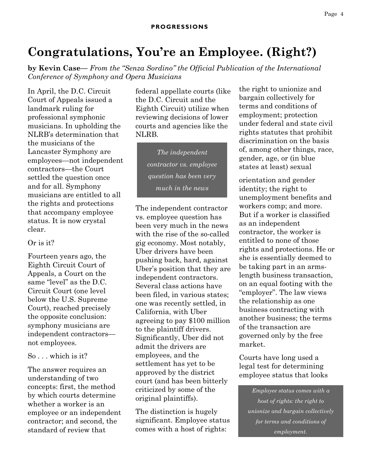## **Congratulations, You're an Employee. (Right?)**

**by Kevin Case—** *From the "Senza Sordino" the Official Publication of the International Conference of Symphony and Opera Musicians*

In April, the D.C. Circuit Court of Appeals issued a landmark ruling for professional symphonic musicians. In upholding the NLRB's determination that the musicians of the Lancaster Symphony are employees—not independent contractors—the Court settled the question once and for all. Symphony musicians are entitled to all the rights and protections that accompany employee status. It is now crystal clear.

## Or is it?

Fourteen years ago, the Eighth Circuit Court of Appeals, a Court on the same "level" as the D.C. Circuit Court (one level below the U.S. Supreme Court), reached precisely the opposite conclusion: symphony musicians are independent contractors not employees.

So . . . which is it?

The answer requires an understanding of two concepts: first, the method by which courts determine whether a worker is an employee or an independent contractor; and second, the standard of review that

federal appellate courts (like the D.C. Circuit and the Eighth Circuit) utilize when reviewing decisions of lower courts and agencies like the NLRB.

> *The independent contractor vs. employee question has been very much in the news*

The independent contractor vs. employee question has been very much in the news with the rise of the so-called gig economy. Most notably, Uber drivers have been pushing back, hard, against Uber's position that they are independent contractors. Several class actions have been filed, in various states; one was recently settled, in California, with Uber agreeing to pay \$100 million to the plaintiff drivers. Significantly, Uber did not admit the drivers are employees, and the settlement has yet to be approved by the district court (and has been bitterly criticized by some of the original plaintiffs).

The distinction is hugely significant. Employee status comes with a host of rights:

the right to unionize and bargain collectively for terms and conditions of employment; protection under federal and state civil rights statutes that prohibit discrimination on the basis of, among other things, race, gender, age, or (in blue states at least) sexual

orientation and gender identity; the right to unemployment benefits and workers comp; and more. But if a worker is classified as an independent contractor, the worker is entitled to none of those rights and protections. He or she is essentially deemed to be taking part in an armslength business transaction, on an equal footing with the "employer". The law views the relationship as one business contracting with another business; the terms of the transaction are governed only by the free market.

Courts have long used a legal test for determining employee status that looks

*Employee status comes with a host of rights: the right to unionize and bargain collectively for terms and conditions of employment.*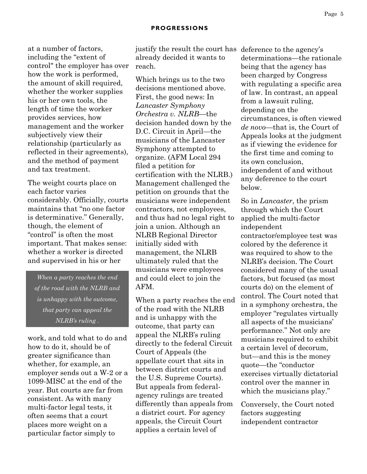at a number of factors, including the "extent of control" the employer has over how the work is performed, the amount of skill required, whether the worker supplies his or her own tools, the length of time the worker provides services, how management and the worker subjectively view their relationship (particularly as reflected in their agreements), and the method of payment and tax treatment.

The weight courts place on each factor varies considerably. Officially, courts maintains that "no one factor is determinative." Generally, though, the element of "control" is often the most important. That makes sense: whether a worker is directed and supervised in his or her

*When a party reaches the end of the road with the NLRB and is unhappy with the outcome, that party can appeal the NLRB's ruling .*

work, and told what to do and how to do it, should be of greater significance than whether, for example, an employer sends out a W-2 or a 1099-MISC at the end of the year. But courts are far from consistent. As with many multi-factor legal tests, it often seems that a court places more weight on a particular factor simply to

justify the result the court has deference to the agency's already decided it wants to reach.

Which brings us to the two decisions mentioned above. First, the good news: In *Lancaster Symphony Orchestra v. NLRB*—the decision handed down by the D.C. Circuit in April—the musicians of the Lancaster Symphony attempted to organize. (AFM Local 294 filed a petition for certification with the NLRB.) Management challenged the petition on grounds that the musicians were independent contractors, not employees, and thus had no legal right to join a union. Although an NLRB Regional Director initially sided with management, the NLRB ultimately ruled that the musicians were employees and could elect to join the AFM.

When a party reaches the end of the road with the NLRB and is unhappy with the outcome, that party can appeal the NLRB's ruling directly to the federal Circuit Court of Appeals (the appellate court that sits in between district courts and the U.S. Supreme Courts). But appeals from federalagency rulings are treated differently than appeals from a district court. For agency appeals, the Circuit Court applies a certain level of

determinations—the rationale being that the agency has been charged by Congress with regulating a specific area of law. In contrast, an appeal from a lawsuit ruling, depending on the circumstances, is often viewed *de novo*—that is, the Court of Appeals looks at the judgment as if viewing the evidence for the first time and coming to its own conclusion, independent of and without any deference to the court below.

So in *Lancaster*, the prism through which the Court applied the multi-factor independent contractor/employee test was colored by the deference it was required to show to the NLRB's decision. The Court considered many of the usual factors, but focused (as most courts do) on the element of control. The Court noted that in a symphony orchestra, the employer "regulates virtually all aspects of the musicians' performance." Not only are musicians required to exhibit a certain level of decorum, but—and this is the money quote—the "conductor exercises virtually dictatorial control over the manner in which the musicians play."

Conversely, the Court noted factors suggesting independent contractor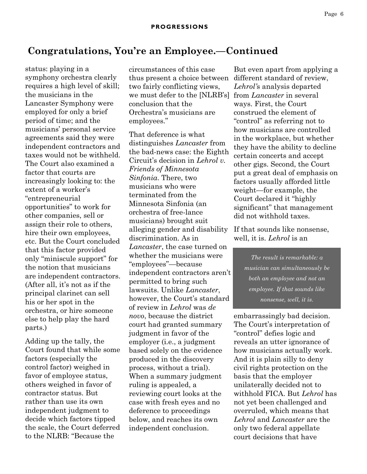## **Congratulations, You're an Employee.—Continued**

status: playing in a symphony orchestra clearly requires a high level of skill; the musicians in the Lancaster Symphony were employed for only a brief period of time; and the musicians' personal service agreements said they were independent contractors and taxes would not be withheld. The Court also examined a factor that courts are increasingly looking to: the extent of a worker's "entrepreneurial opportunities" to work for other companies, sell or assign their role to others, hire their own employees, etc. But the Court concluded that this factor provided only "miniscule support" for the notion that musicians are independent contractors. (After all, it's not as if the principal clarinet can sell his or her spot in the orchestra, or hire someone else to help play the hard parts.)

Adding up the tally, the Court found that while some factors (especially the control factor) weighed in favor of employee status, others weighed in favor of contractor status. But rather than use its own independent judgment to decide which factors tipped the scale, the Court deferred to the NLRB: "Because the

circumstances of this case thus present a choice between two fairly conflicting views, we must defer to the [NLRB's] from *Lancaster* in several conclusion that the Orchestra's musicians are employees."

That deference is what distinguishes *Lancaster* from the bad-news case: the Eighth Circuit's decision in *Lehrol v. Friends of Minnesota Sinfonia*. There, two musicians who were terminated from the Minnesota Sinfonia (an orchestra of free-lance musicians) brought suit alleging gender and disability discrimination. As in *Lancaster*, the case turned on whether the musicians were "employees"—because independent contractors aren't permitted to bring such lawsuits. Unlike *Lancaster*, however, the Court's standard of review in *Lehrol* was *de novo*, because the district court had granted summary judgment in favor of the employer (i.e., a judgment based solely on the evidence produced in the discovery process, without a trial). When a summary judgment ruling is appealed, a reviewing court looks at the case with fresh eyes and no deference to proceedings below, and reaches its own independent conclusion.

But even apart from applying a different standard of review, *Lehrol'*s analysis departed ways. First, the Court construed the element of "control" as referring not to how musicians are controlled in the workplace, but whether they have the ability to decline certain concerts and accept other gigs. Second, the Court put a great deal of emphasis on factors usually afforded little weight—for example, the Court declared it "highly significant" that management did not withhold taxes.

If that sounds like nonsense, well, it is. *Lehrol* is an

> *The result is remarkable: a musician can simultaneously be both an employee and not an employee. If that sounds like nonsense, well, it is.*

embarrassingly bad decision. The Court's interpretation of "control" defies logic and reveals an utter ignorance of how musicians actually work. And it is plain silly to deny civil rights protection on the basis that the employer unilaterally decided not to withhold FICA. But *Lehrol* has not yet been challenged and overruled, which means that *Lehrol* and *Lancaster* are the only two federal appellate court decisions that have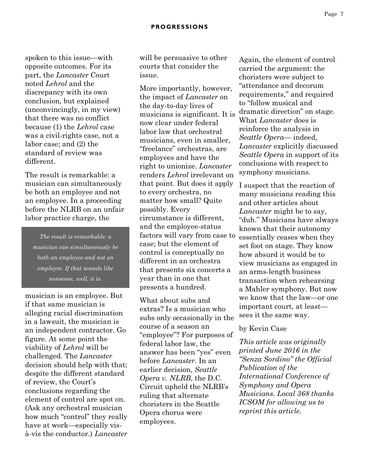spoken to this issue—with opposite outcomes. For its part, the *Lancaster* Court noted *Lehrol* and the discrepancy with its own conclusion, but explained (unconvincingly, in my view) that there was no conflict because (1) the *Lehrol* case was a civil-rights case, not a labor case; and (2) the standard of review was different.

The result is remarkable: a musician can simultaneously be both an employee and not an employee. In a proceeding before the NLRB on an unfair labor practice charge, the

*The result is remarkable: a musician can simultaneously be both an employee and not an employee. If that sounds like nonsense, well, it is.* 

musician is an employee. But if that same musician is alleging racial discrimination in a lawsuit, the musician is an independent contractor. Go figure. At some point the viability of *Lehrol* will be challenged. The *Lancaster*  decision should help with that; despite the different standard of review, the Court's conclusions regarding the element of control are spot on. (Ask any orchestral musician how much "control" they really have at work—especially visà-vis the conductor.) *Lancaster*  will be persuasive to other courts that consider the issue.

More importantly, however, the impact of *Lancaster* on the day-to-day lives of musicians is significant. It is now clear under federal labor law that orchestral musicians, even in smaller, "freelance" orchestras, are employees and have the right to unionize. *Lancaster*  renders *Lehrol* irrelevant on that point. But does it apply to every orchestra, no matter how small? Quite possibly. Every circumstance is different, and the employee-status factors will vary from case to case; but the element of control is conceptually no different in an orchestra that presents six concerts a year than in one that presents a hundred.

What about subs and extras? Is a musician who subs only occasionally in the course of a season an "employee"? For purposes of federal labor law, the answer has been "yes" even before *Lancaster*. In an earlier decision, *Seattle Opera v. NLRB*, the D.C. Circuit upheld the NLRB's ruling that alternate choristers in the Seattle Opera chorus were employees.

Again, the element of control carried the argument: the choristers were subject to "attendance and decorum requirements," and required to "follow musical and dramatic direction" on stage. What *Lancaster* does is reinforce the analysis in *Seattle Opera*— indeed, *Lancaster* explicitly discussed *Seattle Opera* in support of its conclusions with respect to symphony musicians.

I suspect that the reaction of many musicians reading this and other articles about *Lancaster* might be to say, "duh." Musicians have always known that their autonomy essentially ceases when they set foot on stage. They know how absurd it would be to view musicians as engaged in an arms-length business transaction when rehearsing a Mahler symphony. But now we know that the law—or one important court, at least sees it the same way.

## by Kevin Case

*This article was originally printed June 2016 in the "Senza Sordino" the Official Publication of the International Conference of Symphony and Opera Musicians. Local 368 thanks ICSOM for allowing us to reprint this article.*